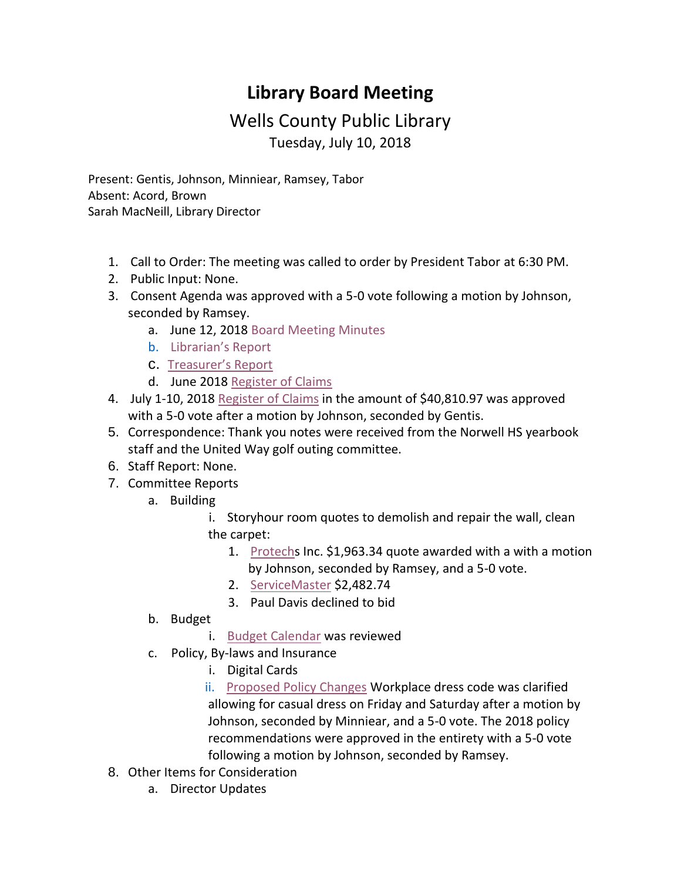## **Library Board Meeting**

## Wells County Public Library Tuesday, July 10, 2018

Present: Gentis, Johnson, Minniear, Ramsey, Tabor Absent: Acord, Brown Sarah MacNeill, Library Director

- 1. Call to Order: The meeting was called to order by President Tabor at 6:30 PM.
- 2. Public Input: None.
- 3. Consent Agenda was approved with a 5-0 vote following a motion by Johnson, seconded by Ramsey.
	- a. June 12, 2018 [Board Meeting Minutes](http://wellscolibrary.org/board/agenda_files/Minutes.pdf)
	- b. [Librarian's Report](http://www.wellscolibrary.org/board/agenda_files/Librarian%20Report.pdf)
	- c. [Treasurer's Report](http://www.wellscolibrary.org/board/agenda_files/Financial%20Report.pdf)
	- d. June 2018 [Register of Claims](http://www.wellscolibrary.org/board/agenda_files/Previous%20Register%20Of%20Claims.pdf)
- 4. July 1-10, 2018 [Register of Claims](http://www.wellscolibrary.org/board/agenda_files/Current%20Register%20Of%20Claims.pdf) in the amount of \$40,810.97 was approved with a 5-0 vote after a motion by Johnson, seconded by Gentis.
- 5. Correspondence: Thank you notes were received from the Norwell HS yearbook staff and the United Way golf outing committee.
- 6. Staff Report: None.
- 7. Committee Reports
	- a. Building
		- i. Storyhour room quotes to demolish and repair the wall, clean the carpet:
			- 1. [Protechs](http://www.wellscolibrary.org/board/agenda_files/Protechs%20Inc.pdf) Inc. \$1,963.34 quote awarded with a with a motion by Johnson, seconded by Ramsey, and a 5-0 vote.
			- 2. [ServiceMaster](http://www.wellscolibrary.org/board/agenda_files/ServiceMaster.pdf) \$2,482.74
			- 3. Paul Davis declined to bid
	- b. Budget
		- i. [Budget Calendar](http://www.wellscolibrary.org/board/Budget%20Materials/2019%20Budget/2018-19%20Budget%20Calendar%20WCPL.pdf) was reviewed
	- c. Policy, By-laws and Insurance
		- i. Digital Cards

 ii. [Proposed Policy Changes](http://www.wellscolibrary.org/board/WCPL%20Policies/Proposed%20Changes/2018%20Summary.pdf) Workplace dress code was clarified allowing for casual dress on Friday and Saturday after a motion by Johnson, seconded by Minniear, and a 5-0 vote. The 2018 policy recommendations were approved in the entirety with a 5-0 vote following a motion by Johnson, seconded by Ramsey.

- 8. Other Items for Consideration
	- a. Director Updates